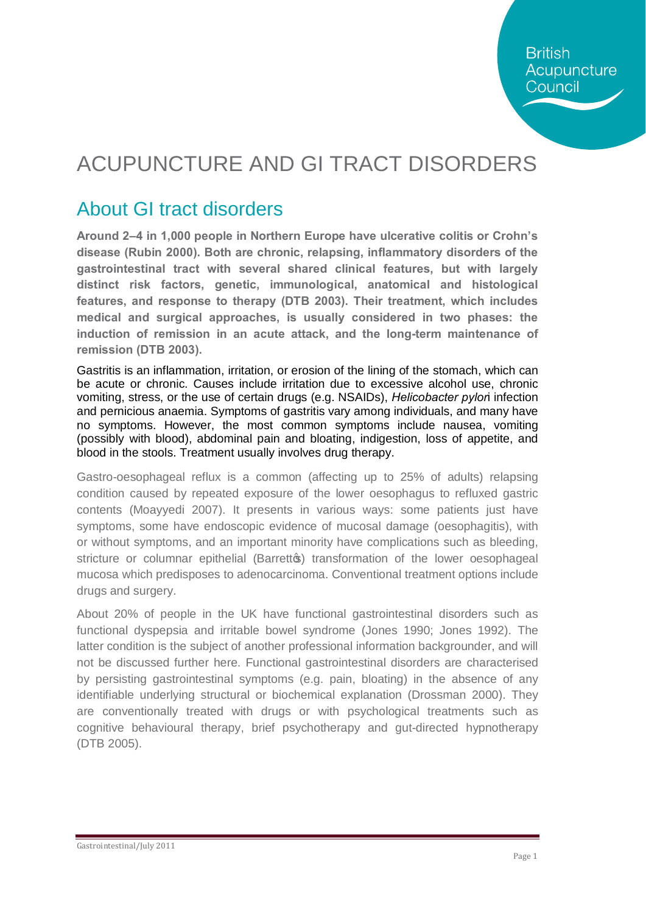# ACUPUNCTURE AND GI TRACT DISORDERS

## About GI tract disorders

**Around 2–4 in 1,000 people in Northern Europe have ulcerative colitis or Crohn's disease (Rubin 2000). Both are chronic, relapsing, inflammatory disorders of the gastrointestinal tract with several shared clinical features, but with largely distinct risk factors, genetic, immunological, anatomical and histological features, and response to therapy (DTB 2003). Their treatment, which includes medical and surgical approaches, is usually considered in two phases: the induction of remission in an acute attack, and the long-term maintenance of remission (DTB 2003).**

Gastritis is an inflammation, irritation, or erosion of the lining of the stomach, which can be acute or chronic. Causes include irritation due to excessive alcohol use, chronic vomiting, stress, or the use of certain drugs (e.g. NSAIDs), *Helicobacter pylor*i infection and pernicious anaemia. Symptoms of gastritis vary among individuals, and many have no symptoms. However, the most common symptoms include nausea, vomiting (possibly with blood), abdominal pain and bloating, indigestion, loss of appetite, and blood in the stools. Treatment usually involves drug therapy.

Gastro-oesophageal reflux is a common (affecting up to 25% of adults) relapsing condition caused by repeated exposure of the lower oesophagus to refluxed gastric contents (Moayyedi 2007). It presents in various ways: some patients just have symptoms, some have endoscopic evidence of mucosal damage (oesophagitis), with or without symptoms, and an important minority have complications such as bleeding, stricture or columnar epithelial (Barrettos) transformation of the lower oesophageal mucosa which predisposes to adenocarcinoma. Conventional treatment options include drugs and surgery.

About 20% of people in the UK have functional gastrointestinal disorders such as functional dyspepsia and irritable bowel syndrome (Jones 1990; Jones 1992). The latter condition is the subject of another professional information backgrounder, and will not be discussed further here. Functional gastrointestinal disorders are characterised by persisting gastrointestinal symptoms (e.g. pain, bloating) in the absence of any identifiable underlying structural or biochemical explanation (Drossman 2000). They are conventionally treated with drugs or with psychological treatments such as cognitive behavioural therapy, brief psychotherapy and gut-directed hypnotherapy (DTB 2005).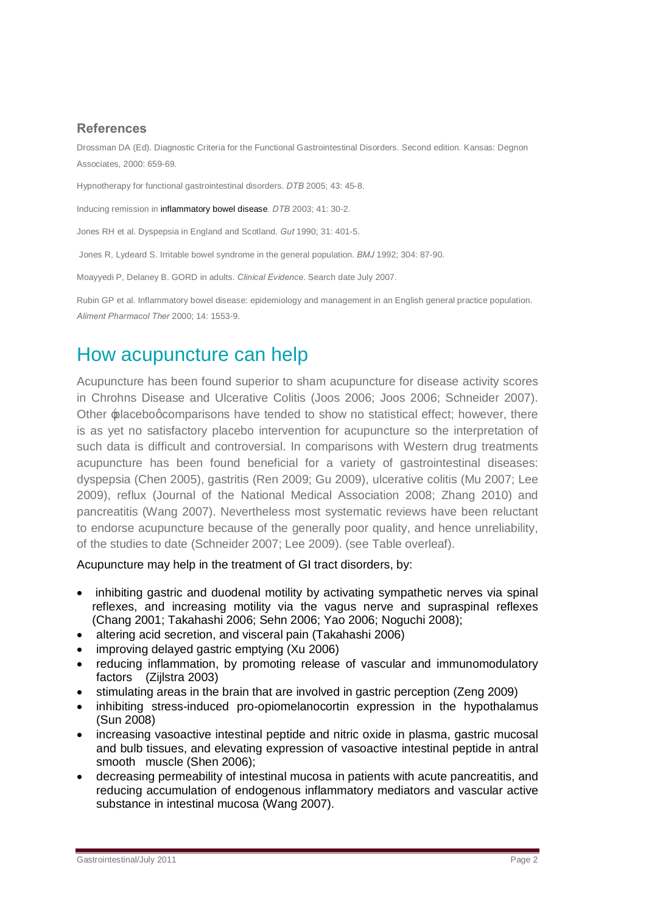### **References**

Drossman DA (Ed). Diagnostic Criteria for the Functional Gastrointestinal Disorders. Second edition. Kansas: Degnon Associates, 2000: 659-69.

Hypnotherapy for functional gastrointestinal disorders. *DTB* 2005; 43: 45-8.

Inducing remission in inflammatory bowel disease*. DTB* 2003; 41: 30-2.

Jones RH et al. Dyspepsia in England and Scotland. *Gut* 1990; 31: 401-5.

Jones R, Lydeard S. Irritable bowel syndrome in the general population. *BMJ* 1992; 304: 87-90.

Moayyedi P, Delaney B. GORD in adults. *Clinical Evidence*. Search date July 2007.

Rubin GP et al. Inflammatory bowel disease: epidemiology and management in an English general practice population. *Aliment Pharmacol Ther* 2000; 14: 1553-9.

## How acupuncture can help

Acupuncture has been found superior to sham acupuncture for disease activity scores in Chrohns Disease and Ulcerative Colitis (Joos 2006; Joos 2006; Schneider 2007). Other  $\triangle$  placebog comparisons have tended to show no statistical effect; however, there is as yet no satisfactory placebo intervention for acupuncture so the interpretation of such data is difficult and controversial. In comparisons with Western drug treatments acupuncture has been found beneficial for a variety of gastrointestinal diseases: dyspepsia (Chen 2005), gastritis (Ren 2009; Gu 2009), ulcerative colitis (Mu 2007; Lee 2009), reflux (Journal of the National Medical Association 2008; Zhang 2010) and pancreatitis (Wang 2007). Nevertheless most systematic reviews have been reluctant to endorse acupuncture because of the generally poor quality, and hence unreliability, of the studies to date (Schneider 2007; Lee 2009). (see Table overleaf).

Acupuncture may help in the treatment of GI tract disorders, by:

- inhibiting gastric and duodenal motility by activating sympathetic nerves via spinal reflexes, and increasing motility via the vagus nerve and supraspinal reflexes (Chang 2001; Takahashi 2006; Sehn 2006; Yao 2006; Noguchi 2008);
- altering acid secretion, and visceral pain (Takahashi 2006)
- · improving delayed gastric emptying (Xu 2006)
- · reducing inflammation, by promoting release of vascular and immunomodulatory factors (Zijlstra 2003)
- · stimulating areas in the brain that are involved in gastric perception (Zeng 2009)
- · inhibiting stress-induced pro-opiomelanocortin expression in the hypothalamus (Sun 2008)
- · increasing vasoactive intestinal peptide and nitric oxide in plasma, gastric mucosal and bulb tissues, and elevating expression of vasoactive intestinal peptide in antral smooth muscle (Shen 2006);
- decreasing permeability of intestinal mucosa in patients with acute pancreatitis, and reducing accumulation of endogenous inflammatory mediators and vascular active substance in intestinal mucosa (Wang 2007).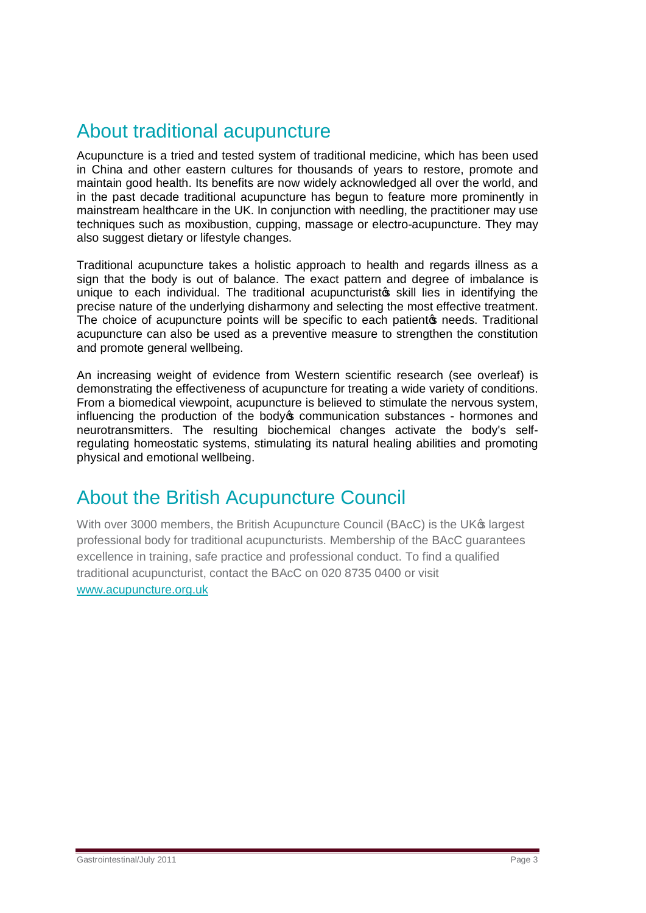## About traditional acupuncture

Acupuncture is a tried and tested system of traditional medicine, which has been used in China and other eastern cultures for thousands of years to restore, promote and maintain good health. Its benefits are now widely acknowledged all over the world, and in the past decade traditional acupuncture has begun to feature more prominently in mainstream healthcare in the UK. In conjunction with needling, the practitioner may use techniques such as moxibustion, cupping, massage or electro-acupuncture. They may also suggest dietary or lifestyle changes.

Traditional acupuncture takes a holistic approach to health and regards illness as a sign that the body is out of balance. The exact pattern and degree of imbalance is unique to each individual. The traditional acupuncturistos skill lies in identifying the precise nature of the underlying disharmony and selecting the most effective treatment. The choice of acupuncture points will be specific to each patient of needs. Traditional acupuncture can also be used as a preventive measure to strengthen the constitution and promote general wellbeing.

An increasing weight of evidence from Western scientific research (see overleaf) is demonstrating the effectiveness of acupuncture for treating a wide variety of conditions. From a biomedical viewpoint, acupuncture is believed to stimulate the nervous system, influencing the production of the body oper communication substances - hormones and neurotransmitters. The resulting biochemical changes activate the body's selfregulating homeostatic systems, stimulating its natural healing abilities and promoting physical and emotional wellbeing.

### About the British Acupuncture Council

With over 3000 members, the British Acupuncture Council (BAcC) is the UK<sup>®</sup> largest professional body for traditional acupuncturists. Membership of the BAcC guarantees excellence in training, safe practice and professional conduct. To find a qualified traditional acupuncturist, contact the BAcC on 020 8735 0400 or visit [www.acupuncture.org.uk](http://www.acupuncture.org.uk/)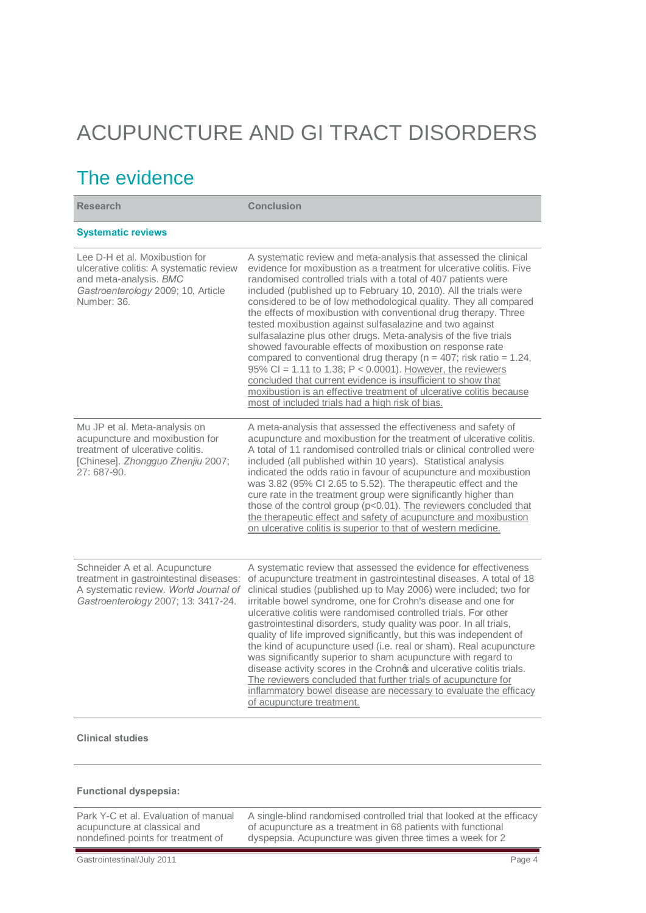# ACUPUNCTURE AND GI TRACT DISORDERS

## The evidence

| <b>Research</b>                                                                                                                                           | <b>Conclusion</b>                                                                                                                                                                                                                                                                                                                                                                                                                                                                                                                                                                                                                                                                                                                                                                                                                                                                                                                                           |
|-----------------------------------------------------------------------------------------------------------------------------------------------------------|-------------------------------------------------------------------------------------------------------------------------------------------------------------------------------------------------------------------------------------------------------------------------------------------------------------------------------------------------------------------------------------------------------------------------------------------------------------------------------------------------------------------------------------------------------------------------------------------------------------------------------------------------------------------------------------------------------------------------------------------------------------------------------------------------------------------------------------------------------------------------------------------------------------------------------------------------------------|
| <b>Systematic reviews</b>                                                                                                                                 |                                                                                                                                                                                                                                                                                                                                                                                                                                                                                                                                                                                                                                                                                                                                                                                                                                                                                                                                                             |
| Lee D-H et al. Moxibustion for<br>ulcerative colitis: A systematic review<br>and meta-analysis. BMC<br>Gastroenterology 2009; 10, Article<br>Number: 36.  | A systematic review and meta-analysis that assessed the clinical<br>evidence for moxibustion as a treatment for ulcerative colitis. Five<br>randomised controlled trials with a total of 407 patients were<br>included (published up to February 10, 2010). All the trials were<br>considered to be of low methodological quality. They all compared<br>the effects of moxibustion with conventional drug therapy. Three<br>tested moxibustion against sulfasalazine and two against<br>sulfasalazine plus other drugs. Meta-analysis of the five trials<br>showed favourable effects of moxibustion on response rate<br>compared to conventional drug therapy ( $n = 407$ ; risk ratio = 1.24,<br>95% CI = 1.11 to 1.38; $P < 0.0001$ ). However, the reviewers<br>concluded that current evidence is insufficient to show that<br>moxibustion is an effective treatment of ulcerative colitis because<br>most of included trials had a high risk of bias. |
| Mu JP et al. Meta-analysis on<br>acupuncture and moxibustion for<br>treatment of ulcerative colitis.<br>[Chinese]. Zhongguo Zhenjiu 2007;<br>27:687-90.   | A meta-analysis that assessed the effectiveness and safety of<br>acupuncture and moxibustion for the treatment of ulcerative colitis.<br>A total of 11 randomised controlled trials or clinical controlled were<br>included (all published within 10 years). Statistical analysis<br>indicated the odds ratio in favour of acupuncture and moxibustion<br>was 3.82 (95% Cl 2.65 to 5.52). The therapeutic effect and the<br>cure rate in the treatment group were significantly higher than<br>those of the control group (p<0.01). The reviewers concluded that<br>the therapeutic effect and safety of acupuncture and moxibustion<br>on ulcerative colitis is superior to that of western medicine.                                                                                                                                                                                                                                                      |
| Schneider A et al. Acupuncture<br>treatment in gastrointestinal diseases:<br>A systematic review. World Journal of<br>Gastroenterology 2007; 13: 3417-24. | A systematic review that assessed the evidence for effectiveness<br>of acupuncture treatment in gastrointestinal diseases. A total of 18<br>clinical studies (published up to May 2006) were included; two for<br>irritable bowel syndrome, one for Crohn's disease and one for<br>ulcerative colitis were randomised controlled trials. For other<br>gastrointestinal disorders, study quality was poor. In all trials,<br>quality of life improved significantly, but this was independent of<br>the kind of acupuncture used (i.e. real or sham). Real acupuncture<br>was significantly superior to sham acupuncture with regard to<br>disease activity scores in the Crohnos and ulcerative colitis trials.<br>The reviewers concluded that further trials of acupuncture for<br>inflammatory bowel disease are necessary to evaluate the efficacy<br>of acupuncture treatment.                                                                         |

#### **Clinical studies**

**Functional dyspepsia:**

| Park Y-C et al. Evaluation of manual |  |  |
|--------------------------------------|--|--|
| acupuncture at classical and         |  |  |
| nondefined points for treatment of   |  |  |

A single-blind randomised controlled trial that looked at the efficacy of acupuncture as a treatment in 68 patients with functional dyspepsia. Acupuncture was given three times a week for 2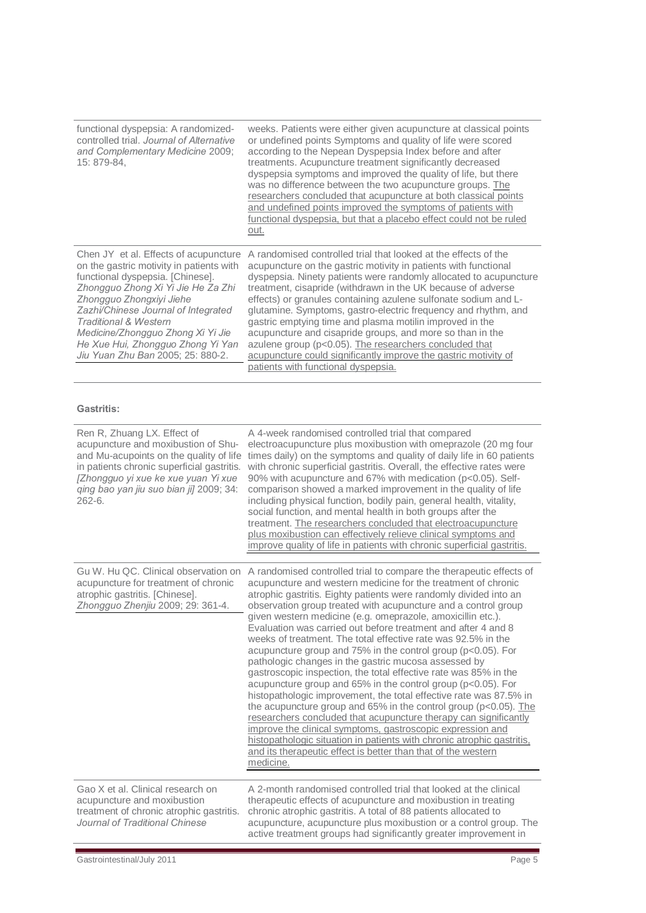| functional dyspepsia: A randomized-<br>controlled trial, Journal of Alternative<br>and Complementary Medicine 2009;<br>15: 879-84,                                                                                                                                                                                                                                                | weeks. Patients were either given acupuncture at classical points<br>or undefined points Symptoms and quality of life were scored<br>according to the Nepean Dyspepsia Index before and after<br>treatments. Acupuncture treatment significantly decreased<br>dyspepsia symptoms and improved the quality of life, but there<br>was no difference between the two acupuncture groups. The<br>researchers concluded that acupuncture at both classical points<br>and undefined points improved the symptoms of patients with<br>functional dyspepsia, but that a placebo effect could not be ruled<br>out.                                                                                                 |
|-----------------------------------------------------------------------------------------------------------------------------------------------------------------------------------------------------------------------------------------------------------------------------------------------------------------------------------------------------------------------------------|-----------------------------------------------------------------------------------------------------------------------------------------------------------------------------------------------------------------------------------------------------------------------------------------------------------------------------------------------------------------------------------------------------------------------------------------------------------------------------------------------------------------------------------------------------------------------------------------------------------------------------------------------------------------------------------------------------------|
| Chen JY et al. Effects of acupuncture<br>on the gastric motivity in patients with<br>functional dyspepsia. [Chinese].<br>Zhongguo Zhong Xi Yi Jie He Za Zhi<br>Zhongguo Zhongxiyi Jiehe<br>Zazhi/Chinese Journal of Integrated<br><b>Traditional &amp; Western</b><br>Medicine/Zhongguo Zhong Xi Yi Jie<br>He Xue Hui, Zhongguo Zhong Yi Yan<br>Jiu Yuan Zhu Ban 2005; 25: 880-2. | A randomised controlled trial that looked at the effects of the<br>acupuncture on the gastric motivity in patients with functional<br>dyspepsia. Ninety patients were randomly allocated to acupuncture<br>treatment, cisapride (withdrawn in the UK because of adverse<br>effects) or granules containing azulene sulfonate sodium and L-<br>glutamine. Symptoms, gastro-electric frequency and rhythm, and<br>gastric emptying time and plasma motilin improved in the<br>acupuncture and cisapride groups, and more so than in the<br>azulene group (p<0.05). The researchers concluded that<br>acupuncture could significantly improve the gastric motivity of<br>patients with functional dyspepsia. |

#### **Gastritis:**

| Ren R, Zhuang LX. Effect of<br>acupuncture and moxibustion of Shu-<br>and Mu-acupoints on the quality of life<br>in patients chronic superficial gastritis.<br>[Zhongguo yi xue ke xue yuan Yi xue<br>qing bao yan jiu suo bian jij 2009; 34:<br>$262 - 6.$ | A 4-week randomised controlled trial that compared<br>electroacupuncture plus moxibustion with omeprazole (20 mg four<br>times daily) on the symptoms and quality of daily life in 60 patients<br>with chronic superficial gastritis. Overall, the effective rates were<br>90% with acupuncture and 67% with medication (p<0.05). Self-<br>comparison showed a marked improvement in the quality of life<br>including physical function, bodily pain, general health, vitality,<br>social function, and mental health in both groups after the<br>treatment. The researchers concluded that electroacupuncture<br>plus moxibustion can effectively relieve clinical symptoms and<br>improve quality of life in patients with chronic superficial gastritis.                                                                                                                                                                                                                                                                                                                                                                                                                        |
|-------------------------------------------------------------------------------------------------------------------------------------------------------------------------------------------------------------------------------------------------------------|------------------------------------------------------------------------------------------------------------------------------------------------------------------------------------------------------------------------------------------------------------------------------------------------------------------------------------------------------------------------------------------------------------------------------------------------------------------------------------------------------------------------------------------------------------------------------------------------------------------------------------------------------------------------------------------------------------------------------------------------------------------------------------------------------------------------------------------------------------------------------------------------------------------------------------------------------------------------------------------------------------------------------------------------------------------------------------------------------------------------------------------------------------------------------------|
| Gu W. Hu QC. Clinical observation on<br>acupuncture for treatment of chronic<br>atrophic gastritis. [Chinese].<br>Zhongguo Zhenjiu 2009; 29: 361-4.                                                                                                         | A randomised controlled trial to compare the therapeutic effects of<br>acupuncture and western medicine for the treatment of chronic<br>atrophic gastritis. Eighty patients were randomly divided into an<br>observation group treated with acupuncture and a control group<br>given western medicine (e.g. omeprazole, amoxicillin etc.).<br>Evaluation was carried out before treatment and after 4 and 8<br>weeks of treatment. The total effective rate was 92.5% in the<br>acupuncture group and 75% in the control group (p<0.05). For<br>pathologic changes in the gastric mucosa assessed by<br>gastroscopic inspection, the total effective rate was 85% in the<br>acupuncture group and 65% in the control group (p<0.05). For<br>histopathologic improvement, the total effective rate was 87.5% in<br>the acupuncture group and 65% in the control group ( $p < 0.05$ ). The<br>researchers concluded that acupuncture therapy can significantly<br>improve the clinical symptoms, gastroscopic expression and<br>histopathologic situation in patients with chronic atrophic gastritis,<br>and its therapeutic effect is better than that of the western<br>medicine. |
| Gao X et al. Clinical research on<br>acupuncture and moxibustion<br>treatment of chronic atrophic gastritis.<br>Journal of Traditional Chinese                                                                                                              | A 2-month randomised controlled trial that looked at the clinical<br>therapeutic effects of acupuncture and moxibustion in treating<br>chronic atrophic gastritis. A total of 88 patients allocated to<br>acupuncture, acupuncture plus moxibustion or a control group. The<br>active treatment groups had significantly greater improvement in                                                                                                                                                                                                                                                                                                                                                                                                                                                                                                                                                                                                                                                                                                                                                                                                                                    |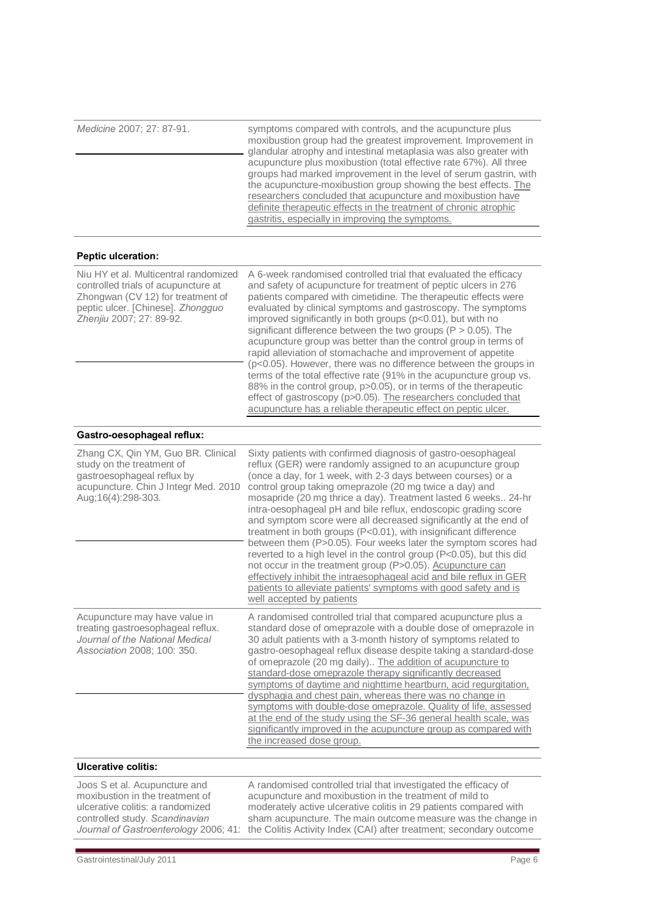*Medicine* 2007; 27: 87-91. symptoms compared with controls, and the acupuncture plus moxibustion group had the greatest improvement. Improvement in glandular atrophy and intestinal metaplasia was also greater with acupuncture plus moxibustion (total effective rate 67%). All three groups had marked improvement in the level of serum gastrin, with the acupuncture-moxibustion group showing the best effects. The researchers concluded that acupuncture and moxibustion have definite therapeutic effects in the treatment of chronic atrophic gastritis, especially in improving the symptoms. **Peptic ulceration:** Niu HY et al. Multicentral randomized controlled trials of acupuncture at Zhongwan (CV 12) for treatment of peptic ulcer. [Chinese]. *Zhongguo Zhenjiu* 2007; 27: 89-92. A 6-week randomised controlled trial that evaluated the efficacy and safety of acupuncture for treatment of peptic ulcers in 276 patients compared with cimetidine. The therapeutic effects were evaluated by clinical symptoms and gastroscopy. The symptoms improved significantly in both groups (p<0.01), but with no significant difference between the two groups (P > 0.05). The acupuncture group was better than the control group in terms of rapid alleviation of stomachache and improvement of appetite (p<0.05). However, there was no difference between the groups in terms of the total effective rate (91% in the acupuncture group vs. 88% in the control group, p>0.05), or in terms of the therapeutic effect of gastroscopy (p>0.05). The researchers concluded that acupuncture has a reliable therapeutic effect on peptic ulcer. **Gastro-oesophageal reflux:** [Zhang CX,](http://www.ncbi.nlm.nih.gov/pubmed?term=%22Zhang%20CX%22%5BAuthor%5D) [Qin YM,](http://www.ncbi.nlm.nih.gov/pubmed?term=%22Qin%20YM%22%5BAuthor%5D) [Guo BR](http://www.ncbi.nlm.nih.gov/pubmed?term=%22Guo%20BR%22%5BAuthor%5D). Clinical study on the treatment of gastroesophageal reflux by acupuncture. [Chin J Integr Med.](http://www.ncbi.nlm.nih.gov/pubmed/20697939) 2010 Aug;16(4):298-303. Sixty patients with confirmed diagnosis of gastro-oesophageal reflux (GER) were randomly assigned to an acupuncture group (once a day, for 1 week, with 2-3 days between courses) or a control group taking omeprazole (20 mg twice a day) and mosapride (20 mg thrice a day). Treatment lasted 6 weeks.. 24-hr intra-oesophageal pH and bile reflux, endoscopic grading score and symptom score were all decreased significantly at the end of treatment in both groups (P<0.01), with insignificant difference between them (P>0.05). Four weeks later the symptom scores had reverted to a high level in the control group (P<0.05), but this did not occur in the treatment group (P>0.05). Acupuncture can effectively inhibit the intraesophageal acid and bile reflux in GER patients to alleviate patients' symptoms with good safety and is well accepted by patients Acupuncture may have value in treating gastroesophageal reflux. *Journal of the National Medical Association* 2008; 100: 350. A randomised controlled trial that compared acupuncture plus a standard dose of omeprazole with a double dose of omeprazole in 30 adult patients with a 3-month history of symptoms related to gastro-oesophageal reflux disease despite taking a standard-dose of omeprazole (20 mg daily).. The addition of acupuncture to standard-dose omeprazole therapy significantly decreased symptoms of daytime and nighttime heartburn, acid regurgitation, dysphagia and chest pain, whereas there was no change in symptoms with double-dose omeprazole. Quality of life, assessed at the end of the study using the SF-36 general health scale, was significantly improved in the acupuncture group as compared with the increased dose group. **Ulcerative colitis:** Joos S et al. Acupuncture and

moxibustion in the treatment of ulcerative colitis: a randomized controlled study. *Scandinavian Journal of Gastroenterology* 2006; 41:

A randomised controlled trial that investigated the efficacy of acupuncture and moxibustion in the treatment of mild to moderately active ulcerative colitis in 29 patients compared with sham acupuncture. The main outcome measure was the change in the Colitis Activity Index (CAI) after treatment; secondary outcome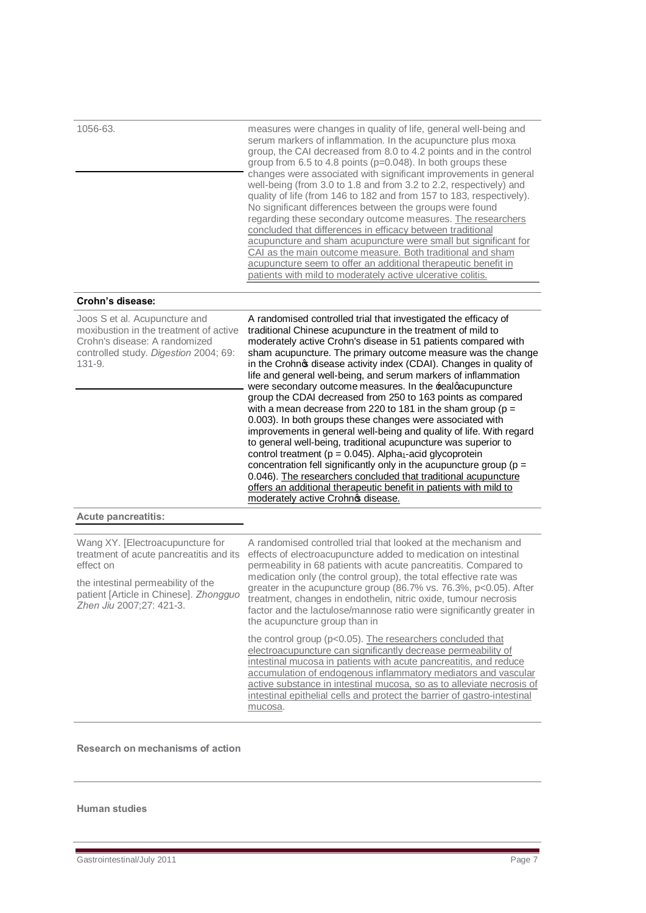| 1056-63.                                                                                                                                                                                             | measures were changes in quality of life, general well-being and<br>serum markers of inflammation. In the acupuncture plus moxal<br>group, the CAI decreased from 8.0 to 4.2 points and in the control<br>group from 6.5 to 4.8 points (p=0.048). In both groups these<br>changes were associated with significant improvements in general<br>well-being (from 3.0 to 1.8 and from 3.2 to 2.2, respectively) and<br>quality of life (from 146 to 182 and from 157 to 183, respectively).<br>No significant differences between the groups were found<br>regarding these secondary outcome measures. The researchers<br>concluded that differences in efficacy between traditional<br>acupuncture and sham acupuncture were small but significant for<br>CAI as the main outcome measure. Both traditional and sham<br>acupuncture seem to offer an additional therapeutic benefit in<br>patients with mild to moderately active ulcerative colitis.                                                                                                                                                                                        |
|------------------------------------------------------------------------------------------------------------------------------------------------------------------------------------------------------|--------------------------------------------------------------------------------------------------------------------------------------------------------------------------------------------------------------------------------------------------------------------------------------------------------------------------------------------------------------------------------------------------------------------------------------------------------------------------------------------------------------------------------------------------------------------------------------------------------------------------------------------------------------------------------------------------------------------------------------------------------------------------------------------------------------------------------------------------------------------------------------------------------------------------------------------------------------------------------------------------------------------------------------------------------------------------------------------------------------------------------------------|
| Crohn's disease:                                                                                                                                                                                     |                                                                                                                                                                                                                                                                                                                                                                                                                                                                                                                                                                                                                                                                                                                                                                                                                                                                                                                                                                                                                                                                                                                                            |
| Joos S et al. Acupuncture and<br>moxibustion in the treatment of active<br>Crohn's disease: A randomized<br>controlled study. Digestion 2004; 69:<br>$131 - 9.$                                      | A randomised controlled trial that investigated the efficacy of<br>traditional Chinese acupuncture in the treatment of mild to<br>moderately active Crohn's disease in 51 patients compared with<br>sham acupuncture. The primary outcome measure was the change<br>in the Crohnos disease activity index (CDAI). Changes in quality of<br>life and general well-being, and serum markers of inflammation<br>were secondary outcome measures. In the realgacupuncture<br>group the CDAI decreased from 250 to 163 points as compared<br>with a mean decrease from 220 to 181 in the sham group ( $p =$<br>0.003). In both groups these changes were associated with<br>improvements in general well-being and quality of life. With regard<br>to general well-being, traditional acupuncture was superior to<br>control treatment (p = 0.045). Alpha <sub>1</sub> -acid glycoprotein<br>concentration fell significantly only in the acupuncture group ( $p =$<br>0.046). The researchers concluded that traditional acupuncture<br>offers an additional therapeutic benefit in patients with mild to<br>moderately active Crohno disease. |
| <b>Acute pancreatitis:</b>                                                                                                                                                                           |                                                                                                                                                                                                                                                                                                                                                                                                                                                                                                                                                                                                                                                                                                                                                                                                                                                                                                                                                                                                                                                                                                                                            |
| Wang XY. [Electroacupuncture for<br>treatment of acute pancreatitis and its<br>effect on<br>the intestinal permeability of the<br>patient [Article in Chinese]. Zhongguo<br>Zhen Jiu 2007;27: 421-3. | A randomised controlled trial that looked at the mechanism and<br>effects of electroacupuncture added to medication on intestinal<br>permeability in 68 patients with acute pancreatitis. Compared to<br>medication only (the control group), the total effective rate was<br>greater in the acupuncture group (86.7% vs. 76.3%, p<0.05). After<br>treatment, changes in endothelin, nitric oxide, tumour necrosis<br>factor and the lactulose/mannose ratio were significantly greater in<br>the acupuncture group than in                                                                                                                                                                                                                                                                                                                                                                                                                                                                                                                                                                                                                |
|                                                                                                                                                                                                      | the control group (p<0.05). The researchers concluded that<br>electroacupuncture can significantly decrease permeability of<br>intestinal mucosa in patients with acute pancreatitis, and reduce<br>accumulation of endogenous inflammatory mediators and vascular<br>active substance in intestinal mucosa, so as to alleviate necrosis of<br>intestinal epithelial cells and protect the barrier of gastro-intestinal<br>mucosa.                                                                                                                                                                                                                                                                                                                                                                                                                                                                                                                                                                                                                                                                                                         |

**Research on mechanisms of action**

#### **Human studies**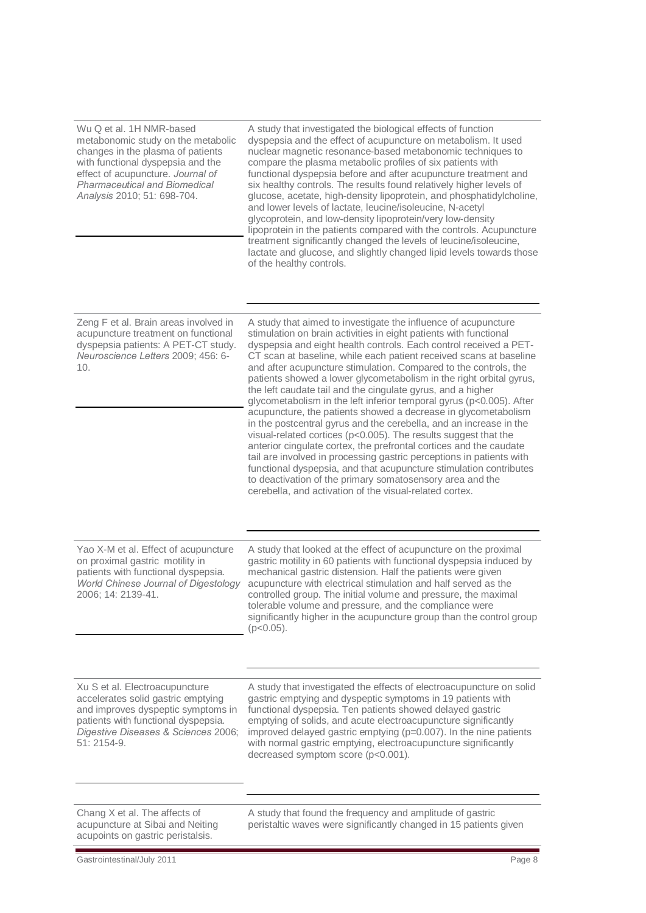Wu Q et al. 1H NMR-based metabonomic study on the metabolic changes in the plasma of patients with functional dyspepsia and the effect of acupuncture. *Journal of Pharmaceutical and Biomedical Analysis* 2010; 51: 698-704. A study that investigated the biological effects of function dyspepsia and the effect of acupuncture on metabolism. It used nuclear magnetic resonance-based metabonomic techniques to compare the plasma metabolic profiles of six patients with functional dyspepsia before and after acupuncture treatment and six healthy controls. The results found relatively higher levels of glucose, acetate, high-density lipoprotein, and phosphatidylcholine, and lower levels of lactate, leucine/isoleucine, N-acetyl glycoprotein, and low-density lipoprotein/very low-density lipoprotein in the patients compared with the controls. Acupuncture treatment significantly changed the levels of leucine/isoleucine, lactate and glucose, and slightly changed lipid levels towards those of the healthy controls. Zeng F et al. Brain areas involved in acupuncture treatment on functional dyspepsia patients: A PET-CT study. *Neuroscience Letters* 2009; 456: 6-  $1<sub>0</sub>$ A study that aimed to investigate the influence of acupuncture stimulation on brain activities in eight patients with functional dyspepsia and eight health controls. Each control received a PET-CT scan at baseline, while each patient received scans at baseline and after acupuncture stimulation. Compared to the controls, the patients showed a lower glycometabolism in the right orbital gyrus, the left caudate tail and the cingulate gyrus, and a higher glycometabolism in the left inferior temporal gyrus (p<0.005). After acupuncture, the patients showed a decrease in glycometabolism in the postcentral gyrus and the cerebella, and an increase in the visual-related cortices (p<0.005). The results suggest that the anterior cingulate cortex, the prefrontal cortices and the caudate tail are involved in processing gastric perceptions in patients with functional dyspepsia, and that acupuncture stimulation contributes to deactivation of the primary somatosensory area and the cerebella, and activation of the visual-related cortex. Yao X-M et al. Effect of acupuncture on proximal gastric motility in patients with functional dyspepsia. *World Chinese Journal of Digestology*  2006; 14: 2139-41. A study that looked at the effect of acupuncture on the proximal gastric motility in 60 patients with functional dyspepsia induced by mechanical gastric distension. Half the patients were given acupuncture with electrical stimulation and half served as the controlled group. The initial volume and pressure, the maximal tolerable volume and pressure, and the compliance were significantly higher in the acupuncture group than the control group  $(p<0.05)$ . Xu S et al. Electroacupuncture accelerates solid gastric emptying and improves dyspeptic symptoms in patients with functional dyspepsia. *Digestive Diseases & Sciences* 2006; 51: 2154-9*.* A study that investigated the effects of electroacupuncture on solid gastric emptying and dyspeptic symptoms in 19 patients with functional dyspepsia. Ten patients showed delayed gastric emptying of solids, and acute electroacupuncture significantly improved delayed gastric emptying (p=0.007). In the nine patients with normal gastric emptying, electroacupuncture significantly decreased symptom score (p<0.001). Chang X et al. The affects of acupuncture at Sibai and Neiting acupoints on gastric peristalsis. A study that found the frequency and amplitude of gastric peristaltic waves were significantly changed in 15 patients given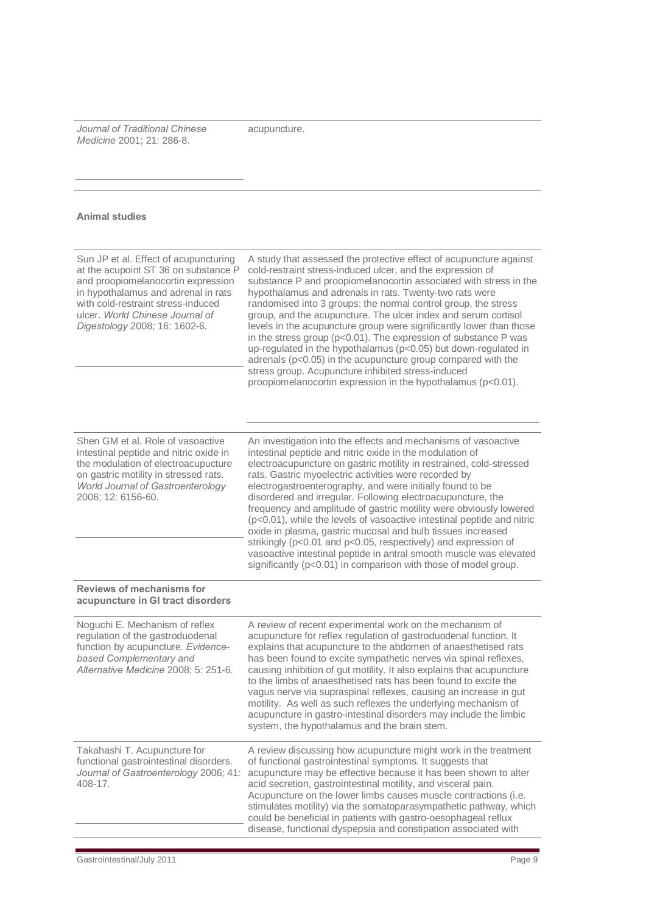*Journal of Traditional Chinese Medicine* 2001; 21: 286-8.

acupuncture.

#### **Animal studies**

| A study that assessed the protective effect of acupuncture against                                                                                                                                                                                                                                                                                                                                                                                                                                                                                                                                                                                                                                                                                                                                               |
|------------------------------------------------------------------------------------------------------------------------------------------------------------------------------------------------------------------------------------------------------------------------------------------------------------------------------------------------------------------------------------------------------------------------------------------------------------------------------------------------------------------------------------------------------------------------------------------------------------------------------------------------------------------------------------------------------------------------------------------------------------------------------------------------------------------|
| cold-restraint stress-induced ulcer, and the expression of<br>substance P and proopiomelanocortin associated with stress in the<br>hypothalamus and adrenals in rats. Twenty-two rats were<br>randomised into 3 groups: the normal control group, the stress<br>group, and the acupuncture. The ulcer index and serum cortisol<br>levels in the acupuncture group were significantly lower than those<br>in the stress group (p<0.01). The expression of substance P was<br>up-regulated in the hypothalamus (p<0.05) but down-regulated in<br>adrenals ( $p<0.05$ ) in the acupuncture group compared with the<br>stress group. Acupuncture inhibited stress-induced<br>proopiomelanocortin expression in the hypothalamus (p<0.01).                                                                            |
|                                                                                                                                                                                                                                                                                                                                                                                                                                                                                                                                                                                                                                                                                                                                                                                                                  |
| An investigation into the effects and mechanisms of vasoactive<br>intestinal peptide and nitric oxide in the modulation of<br>electroacupuncture on gastric motility in restrained, cold-stressed<br>rats. Gastric myoelectric activities were recorded by<br>electrogastroenterography, and were initially found to be<br>disordered and irregular. Following electroacupuncture, the<br>frequency and amplitude of gastric motility were obviously lowered<br>(p<0.01), while the levels of vasoactive intestinal peptide and nitric<br>oxide in plasma, gastric mucosal and bulb tissues increased<br>strikingly (p<0.01 and p<0.05, respectively) and expression of<br>vasoactive intestinal peptide in antral smooth muscle was elevated<br>significantly (p<0.01) in comparison with those of model group. |
|                                                                                                                                                                                                                                                                                                                                                                                                                                                                                                                                                                                                                                                                                                                                                                                                                  |
| A review of recent experimental work on the mechanism of<br>acupuncture for reflex regulation of gastroduodenal function. It<br>explains that acupuncture to the abdomen of anaesthetised rats<br>has been found to excite sympathetic nerves via spinal reflexes,<br>causing inhibition of gut motility. It also explains that acupuncture<br>to the limbs of anaesthetised rats has been found to excite the<br>vagus nerve via supraspinal reflexes, causing an increase in gut<br>motility. As well as such reflexes the underlying mechanism of<br>acupuncture in gastro-intestinal disorders may include the limbic<br>system, the hypothalamus and the brain stem.                                                                                                                                        |
| A review discussing how acupuncture might work in the treatment<br>of functional gastrointestinal symptoms. It suggests that<br>acupuncture may be effective because it has been shown to alter<br>acid secretion, gastrointestinal motility, and visceral pain.<br>Acupuncture on the lower limbs causes muscle contractions (i.e.<br>stimulates motility) via the somatoparasympathetic pathway, which<br>could be beneficial in patients with gastro-oesophageal reflux<br>disease, functional dyspepsia and constipation associated with                                                                                                                                                                                                                                                                     |
|                                                                                                                                                                                                                                                                                                                                                                                                                                                                                                                                                                                                                                                                                                                                                                                                                  |